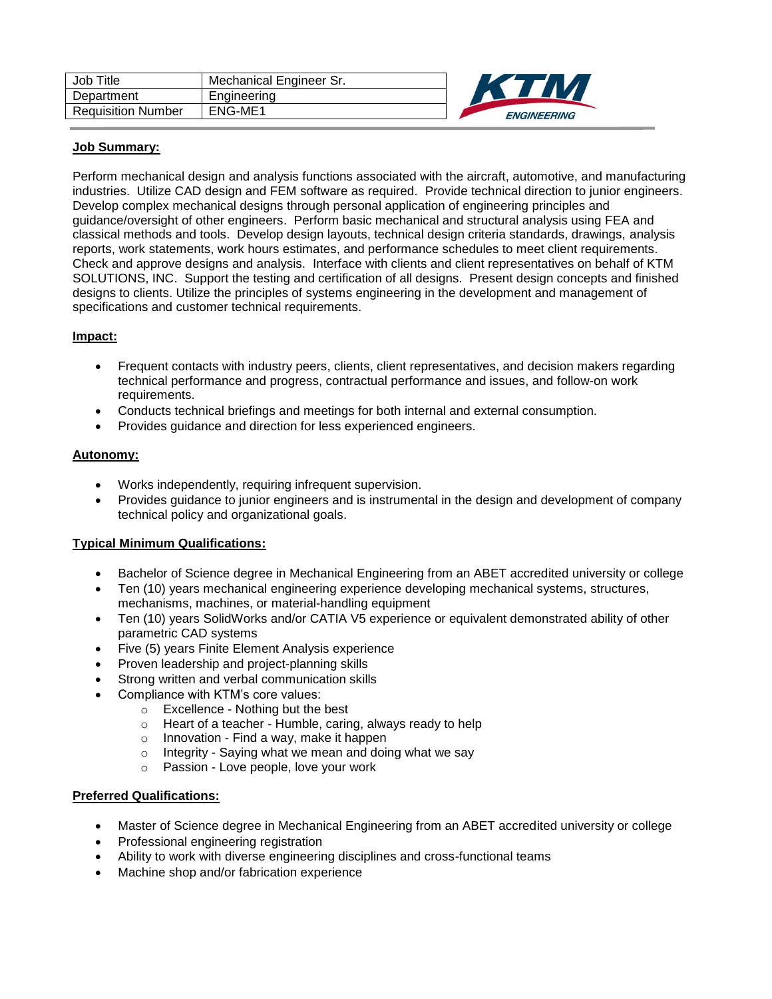| Job Title                 | Mechanical Engineer Sr. |
|---------------------------|-------------------------|
| Department                | Engineering             |
| <b>Requisition Number</b> | ENG-ME1                 |



### **Job Summary:**

Perform mechanical design and analysis functions associated with the aircraft, automotive, and manufacturing industries. Utilize CAD design and FEM software as required. Provide technical direction to junior engineers. Develop complex mechanical designs through personal application of engineering principles and guidance/oversight of other engineers. Perform basic mechanical and structural analysis using FEA and classical methods and tools. Develop design layouts, technical design criteria standards, drawings, analysis reports, work statements, work hours estimates, and performance schedules to meet client requirements. Check and approve designs and analysis. Interface with clients and client representatives on behalf of KTM SOLUTIONS, INC. Support the testing and certification of all designs. Present design concepts and finished designs to clients. Utilize the principles of systems engineering in the development and management of specifications and customer technical requirements.

# **Impact:**

- Frequent contacts with industry peers, clients, client representatives, and decision makers regarding technical performance and progress, contractual performance and issues, and follow-on work requirements.
- Conducts technical briefings and meetings for both internal and external consumption.
- Provides guidance and direction for less experienced engineers.

#### **Autonomy:**

- Works independently, requiring infrequent supervision.
- Provides guidance to junior engineers and is instrumental in the design and development of company technical policy and organizational goals.

# **Typical Minimum Qualifications:**

- Bachelor of Science degree in Mechanical Engineering from an ABET accredited university or college
- Ten (10) years mechanical engineering experience developing mechanical systems, structures, mechanisms, machines, or material-handling equipment
- Ten (10) years SolidWorks and/or CATIA V5 experience or equivalent demonstrated ability of other parametric CAD systems
- Five (5) years Finite Element Analysis experience
- Proven leadership and project-planning skills
- Strong written and verbal communication skills
- Compliance with KTM's core values:
	- o Excellence Nothing but the best
	- o Heart of a teacher Humble, caring, always ready to help
	- o Innovation Find a way, make it happen
	- o Integrity Saying what we mean and doing what we say
	- o Passion Love people, love your work

# **Preferred Qualifications:**

- Master of Science degree in Mechanical Engineering from an ABET accredited university or college
- Professional engineering registration
- Ability to work with diverse engineering disciplines and cross-functional teams
- Machine shop and/or fabrication experience